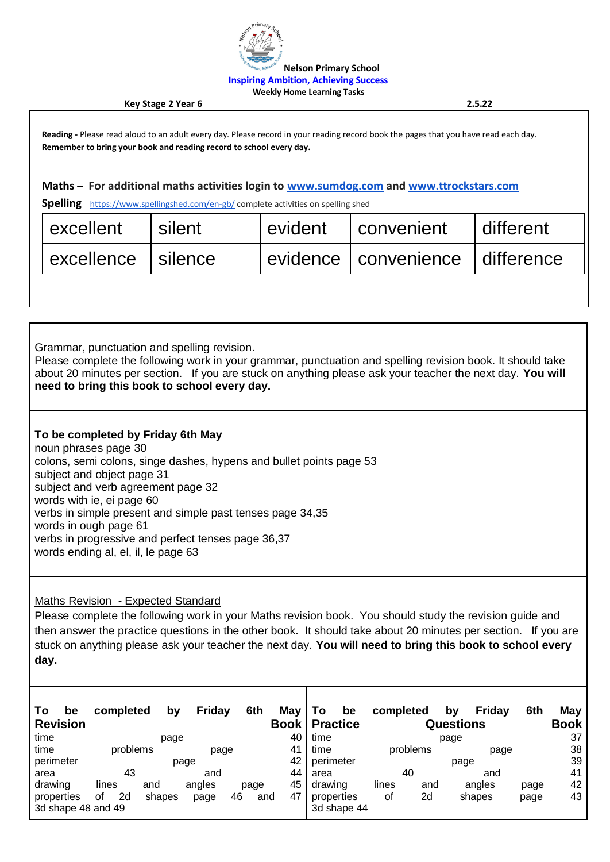

**Nelson Primary School**

**Inspiring Ambition, Achieving Success**

**Weekly Home Learning Tasks**

**Key Stage 2 Year 6 2.5.22**

**Reading -** Please read aloud to an adult every day. Please record in your reading record book the pages that you have read each day. **Remember to bring your book and reading record to school every day. Maths – For additional maths activities login to [www.sumdog.com](http://www.sumdog.com/) and [www.ttrockstars.com](http://www.ttrockstars.com/) Spelling** <https://www.spellingshed.com/en-gb/> complete activities on spelling shed excellent silent levident convenient different excellence silence evidence convenience difference

Grammar, punctuation and spelling revision.

Please complete the following work in your grammar, punctuation and spelling revision book. It should take about 20 minutes per section. If you are stuck on anything please ask your teacher the next day. **You will need to bring this book to school every day.** 

## **To be completed by Friday 6th May**

noun phrases page 30 colons, semi colons, singe dashes, hypens and bullet points page 53 subject and object page 31 subject and verb agreement page 32 words with ie, ei page 60 verbs in simple present and simple past tenses page 34,35 words in ough page 61 verbs in progressive and perfect tenses page 36,37 words ending al, el, il, le page 63

Maths Revision - Expected Standard

Please complete the following work in your Maths revision book. You should study the revision guide and then answer the practice questions in the other book. It should take about 20 minutes per section. If you are stuck on anything please ask your teacher the next day. **You will need to bring this book to school every day.** 

| Τo<br>be<br><b>Revision</b>      | completed        | bv     | Friday | 6th       | May<br>Book I | To.<br>be<br><b>Practice</b> |                  | completed | by<br><b>Questions</b> | Friday | 6th  | May<br>Book |
|----------------------------------|------------------|--------|--------|-----------|---------------|------------------------------|------------------|-----------|------------------------|--------|------|-------------|
| time                             | page             |        |        |           | 40            | time                         |                  | page      |                        |        |      | 37          |
| time                             | problems<br>page |        |        | 41        | time          |                              | problems<br>page |           |                        | 38     |      |             |
| perimeter                        | page             |        |        |           | 42            | perimeter                    |                  | page      |                        |        | 39   |             |
| area                             | 43<br>and        |        |        | 44        | area          |                              | 40               |           | and                    |        | 41   |             |
| drawing                          | lines            | and    | angles | page      | 45            | drawing                      | lines            | and       |                        | angles | page | 42          |
| properties<br>3d shape 48 and 49 | 2d<br>οf         | shapes | page   | 46<br>and | 47            | properties<br>3d shape 44    | оf               | 2d        |                        | shapes | page | 43          |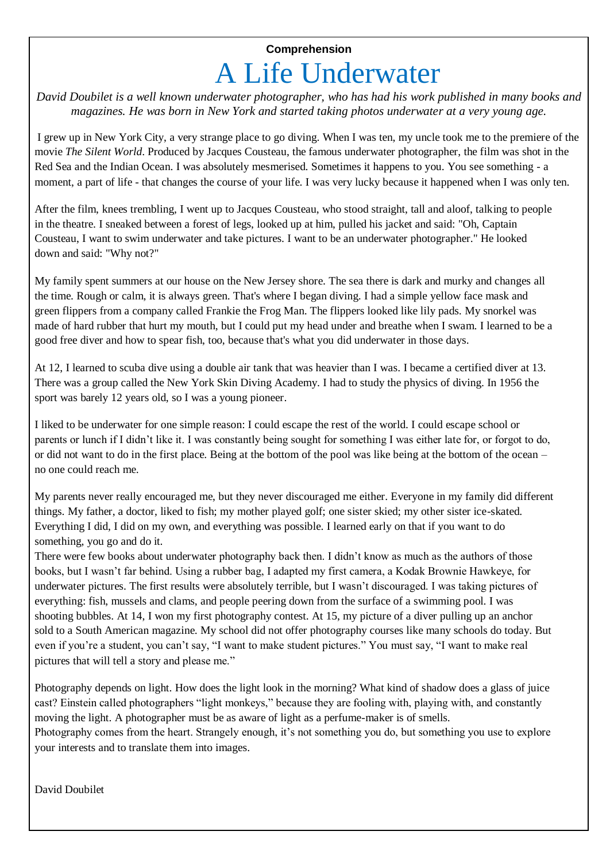## **Comprehension** A Life Underwater

*David Doubilet is a well known underwater photographer, who has had his work published in many books and magazines. He was born in New York and started taking photos underwater at a very young age.*

I grew up in New York City, a very strange place to go diving. When I was ten, my uncle took me to the premiere of the movie *The Silent World*. Produced by Jacques Cousteau, the famous underwater photographer, the film was shot in the Red Sea and the Indian Ocean. I was absolutely mesmerised. Sometimes it happens to you. You see something - a moment, a part of life - that changes the course of your life. I was very lucky because it happened when I was only ten.

After the film, knees trembling, I went up to Jacques Cousteau, who stood straight, tall and aloof, talking to people in the theatre. I sneaked between a forest of legs, looked up at him, pulled his jacket and said: "Oh, Captain Cousteau, I want to swim underwater and take pictures. I want to be an underwater photographer." He looked down and said: "Why not?"

My family spent summers at our house on the New Jersey shore. The sea there is dark and murky and changes all the time. Rough or calm, it is always green. That's where I began diving. I had a simple yellow face mask and green flippers from a company called Frankie the Frog Man. The flippers looked like lily pads. My snorkel was made of hard rubber that hurt my mouth, but I could put my head under and breathe when I swam. I learned to be a good free diver and how to spear fish, too, because that's what you did underwater in those days.

At 12, I learned to scuba dive using a double air tank that was heavier than I was. I became a certified diver at 13. There was a group called the New York Skin Diving Academy. I had to study the physics of diving. In 1956 the sport was barely 12 years old, so I was a young pioneer.

I liked to be underwater for one simple reason: I could escape the rest of the world. I could escape school or parents or lunch if I didn't like it. I was constantly being sought for something I was either late for, or forgot to do, or did not want to do in the first place. Being at the bottom of the pool was like being at the bottom of the ocean – no one could reach me.

My parents never really encouraged me, but they never discouraged me either. Everyone in my family did different things. My father, a doctor, liked to fish; my mother played golf; one sister skied; my other sister ice-skated. Everything I did, I did on my own, and everything was possible. I learned early on that if you want to do something, you go and do it.

There were few books about underwater photography back then. I didn't know as much as the authors of those books, but I wasn't far behind. Using a rubber bag, I adapted my first camera, a Kodak Brownie Hawkeye, for underwater pictures. The first results were absolutely terrible, but I wasn't discouraged. I was taking pictures of everything: fish, mussels and clams, and people peering down from the surface of a swimming pool. I was shooting bubbles. At 14, I won my first photography contest. At 15, my picture of a diver pulling up an anchor sold to a South American magazine. My school did not offer photography courses like many schools do today. But even if you're a student, you can't say, "I want to make student pictures." You must say, "I want to make real pictures that will tell a story and please me."

Photography depends on light. How does the light look in the morning? What kind of shadow does a glass of juice cast? Einstein called photographers "light monkeys," because they are fooling with, playing with, and constantly moving the light. A photographer must be as aware of light as a perfume-maker is of smells. Photography comes from the heart. Strangely enough, it's not something you do, but something you use to explore your interests and to translate them into images.

David Doubilet